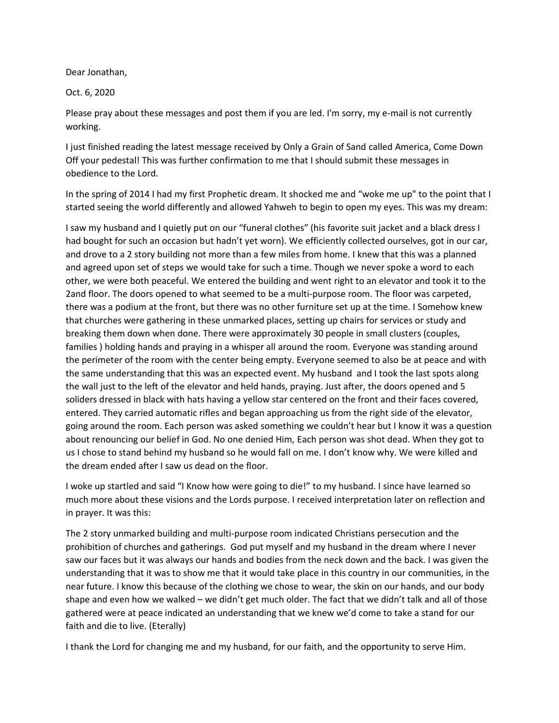Dear Jonathan,

Oct. 6, 2020

Please pray about these messages and post them if you are led. I'm sorry, my e-mail is not currently working.

I just finished reading the latest message received by Only a Grain of Sand called America, Come Down Off your pedestal! This was further confirmation to me that I should submit these messages in obedience to the Lord.

In the spring of 2014 I had my first Prophetic dream. It shocked me and "woke me up" to the point that I started seeing the world differently and allowed Yahweh to begin to open my eyes. This was my dream:

I saw my husband and I quietly put on our "funeral clothes" (his favorite suit jacket and a black dress I had bought for such an occasion but hadn't yet worn). We efficiently collected ourselves, got in our car, and drove to a 2 story building not more than a few miles from home. I knew that this was a planned and agreed upon set of steps we would take for such a time. Though we never spoke a word to each other, we were both peaceful. We entered the building and went right to an elevator and took it to the 2and floor. The doors opened to what seemed to be a multi-purpose room. The floor was carpeted, there was a podium at the front, but there was no other furniture set up at the time. I Somehow knew that churches were gathering in these unmarked places, setting up chairs for services or study and breaking them down when done. There were approximately 30 people in small clusters (couples, families ) holding hands and praying in a whisper all around the room. Everyone was standing around the perimeter of the room with the center being empty. Everyone seemed to also be at peace and with the same understanding that this was an expected event. My husband and I took the last spots along the wall just to the left of the elevator and held hands, praying. Just after, the doors opened and 5 soliders dressed in black with hats having a yellow star centered on the front and their faces covered, entered. They carried automatic rifles and began approaching us from the right side of the elevator, going around the room. Each person was asked something we couldn't hear but I know it was a question about renouncing our belief in God. No one denied Him, Each person was shot dead. When they got to us I chose to stand behind my husband so he would fall on me. I don't know why. We were killed and the dream ended after I saw us dead on the floor.

I woke up startled and said "I Know how were going to die!" to my husband. I since have learned so much more about these visions and the Lords purpose. I received interpretation later on reflection and in prayer. It was this:

The 2 story unmarked building and multi-purpose room indicated Christians persecution and the prohibition of churches and gatherings. God put myself and my husband in the dream where I never saw our faces but it was always our hands and bodies from the neck down and the back. I was given the understanding that it was to show me that it would take place in this country in our communities, in the near future. I know this because of the clothing we chose to wear, the skin on our hands, and our body shape and even how we walked – we didn't get much older. The fact that we didn't talk and all of those gathered were at peace indicated an understanding that we knew we'd come to take a stand for our faith and die to live. (Eterally)

I thank the Lord for changing me and my husband, for our faith, and the opportunity to serve Him.